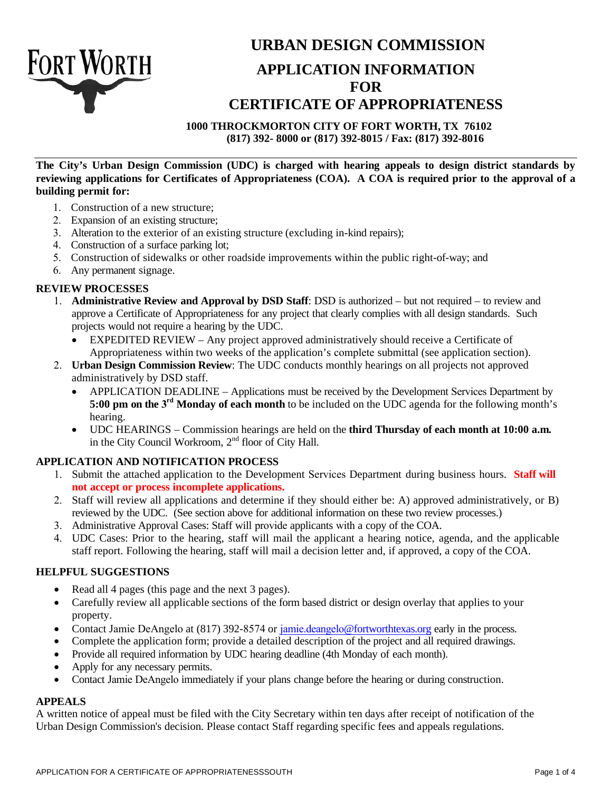

# **URBAN DESIGN COMMISSION APPLICATION INFORMATION FOR CERTIFICATE OF APPROPRIATENESS**

**1000 THROCKMORTON CITY OF FORT WORTH, TX 76102**

**(817) 392- 8000 or (817) 392-8015 / Fax: (817) 392-8016**

**The City's Urban Design Commission (UDC) is charged with hearing appeals to design district standards by reviewing applications for Certificates of Appropriateness (COA). A COA is required prior to the approval of a building permit for:** 

- 1. Construction of a new structure;
- 2. Expansion of an existing structure;
- 3. Alteration to the exterior of an existing structure (excluding in-kind repairs);
- 4. Construction of a surface parking lot;
- 5. Construction of sidewalks or other roadside improvements within the public right-of-way; and
- 6. Any permanent signage.

#### **REVIEW PROCESSES**

- 1. **Administrative Review and Approval by DSD Staff**: DSD is authorized but not required to review and approve a Certificate of Appropriateness for any project that clearly complies with all design standards. Such projects would not require a hearing by the UDC.
	- EXPEDITED REVIEW Any project approved administratively should receive a Certificate of Appropriateness within two weeks of the application's complete submittal (see application section).
- 2. **Urban Design Commission Review**: The UDC conducts monthly hearings on all projects not approved administratively by DSD staff.
	- APPLICATION DEADLINE Applications must be received by the Development Services Department by **5:00 pm on the 3<sup>rd</sup> Monday of each month** to be included on the UDC agenda for the following month's hearing.
	- UDC HEARINGS Commission hearings are held on the **third Thursday of each month at 10:00 a.m.** in the City Council Workroom, 2<sup>nd</sup> floor of City Hall.

## **APPLICATION AND NOTIFICATION PROCESS**

- 1. Submit the attached application to the Development Services Department during business hours. **Staff will not accept or process incomplete applications.**
- 2. Staff will review all applications and determine if they should either be: A) approved administratively, or B) reviewed by the UDC. (See section above for additional information on these two review processes.)
- 3. Administrative Approval Cases: Staff will provide applicants with a copy of the COA.
- 4. UDC Cases: Prior to the hearing, staff will mail the applicant a hearing notice, agenda, and the applicable staff report. Following the hearing, staff will mail a decision letter and, if approved, a copy of the COA.

#### **HELPFUL SUGGESTIONS**

- Read all 4 pages (this page and the next 3 pages).
- Carefully review all applicable sections of the form based district or design overlay that applies to your property.
- Contact Jamie DeAngelo at (817) 392-8574 or jamie.deangelo@fortworthtexas.org early in the process.
- Complete the application form; provide a detailed description of the project and all required drawings.
- Provide all required information by UDC hearing deadline (4th Monday of each month).
- Apply for any necessary permits.
- Contact Jamie DeAngelo immediately if your plans change before the hearing or during construction.

#### **APPEALS**

A written notice of appeal must be filed with the City Secretary within ten days after receipt of notification of the Urban Design Commission's decision. Please contact Staff regarding specific fees and appeals regulations.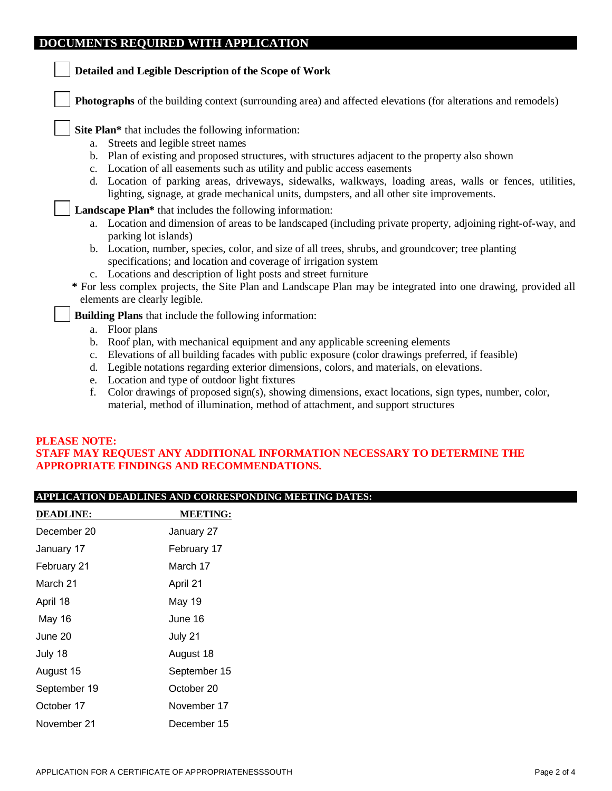## **DOCUMENTS REQUIRED WITH APPLICATION**

| Detailed and Legible Description of the Scope of Work                                         |                                                                                                                                                                                                    |  |  |  |  |
|-----------------------------------------------------------------------------------------------|----------------------------------------------------------------------------------------------------------------------------------------------------------------------------------------------------|--|--|--|--|
|                                                                                               | <b>Photographs</b> of the building context (surrounding area) and affected elevations (for alterations and remodels)                                                                               |  |  |  |  |
| Site Plan* that includes the following information:<br>Streets and legible street names<br>a. |                                                                                                                                                                                                    |  |  |  |  |
| b.<br>Location of all easements such as utility and public access easements<br>c.             | Plan of existing and proposed structures, with structures adjacent to the property also shown                                                                                                      |  |  |  |  |
| d.                                                                                            | Location of parking areas, driveways, sidewalks, walkways, loading areas, walls or fences, utilities,<br>lighting, signage, at grade mechanical units, dumpsters, and all other site improvements. |  |  |  |  |
| <b>Landscape Plan*</b> that includes the following information:                               |                                                                                                                                                                                                    |  |  |  |  |
| parking lot islands)                                                                          | a. Location and dimension of areas to be landscaped (including private property, adjoining right-of-way, and                                                                                       |  |  |  |  |
| specifications; and location and coverage of irrigation system                                | b. Location, number, species, color, and size of all trees, shrubs, and groundcover; tree planting                                                                                                 |  |  |  |  |
| c. Locations and description of light posts and street furniture                              |                                                                                                                                                                                                    |  |  |  |  |
| elements are clearly legible.                                                                 | * For less complex projects, the Site Plan and Landscape Plan may be integrated into one drawing, provided all                                                                                     |  |  |  |  |
| <b>Building Plans</b> that include the following information:                                 |                                                                                                                                                                                                    |  |  |  |  |
| Floor plans<br>a.                                                                             |                                                                                                                                                                                                    |  |  |  |  |
| b.                                                                                            | Roof plan, with mechanical equipment and any applicable screening elements                                                                                                                         |  |  |  |  |
| c.                                                                                            | Elevations of all building facades with public exposure (color drawings preferred, if feasible)                                                                                                    |  |  |  |  |
| d.                                                                                            | Legible notations regarding exterior dimensions, colors, and materials, on elevations.                                                                                                             |  |  |  |  |
| Location and type of outdoor light fixtures<br>e.                                             |                                                                                                                                                                                                    |  |  |  |  |

f. Color drawings of proposed sign(s), showing dimensions, exact locations, sign types, number, color, material, method of illumination, method of attachment, and support structures

#### **PLEASE NOTE: STAFF MAY REQUEST ANY ADDITIONAL INFORMATION NECESSARY TO DETERMINE THE APPROPRIATE FINDINGS AND RECOMMENDATIONS.**

### **APPLICATION DEADLINES AND CORRESPONDING MEETING DATES:**

| <b>DEADLINE:</b> | <b>MEETING:</b> |  |
|------------------|-----------------|--|
| December 20      | January 27      |  |
| January 17       | February 17     |  |
| February 21      | March 17        |  |
| March 21         | April 21        |  |
| April 18         | May 19          |  |
| May 16           | June 16         |  |
| June 20          | July 21         |  |
| July 18          | August 18       |  |
| August 15        | September 15    |  |
| September 19     | October 20      |  |
| October 17       | November 17     |  |
| November 21      | December 15     |  |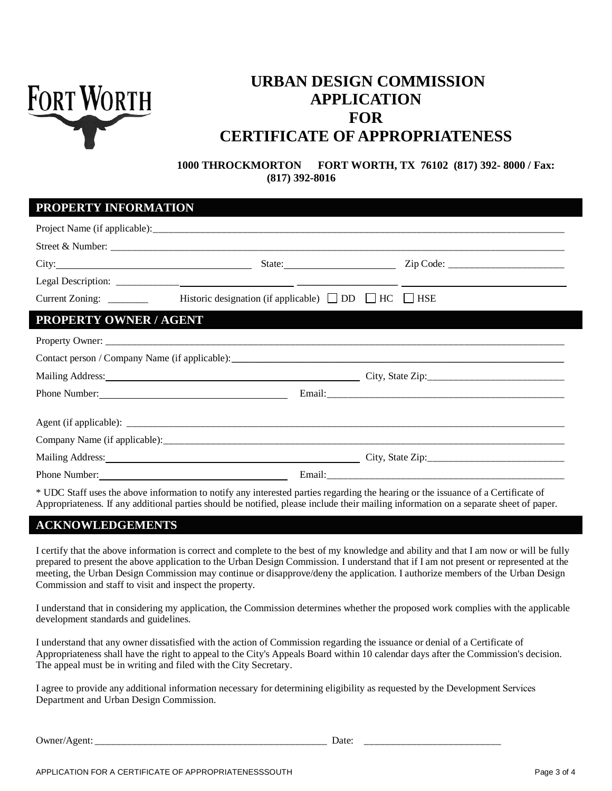

# **URBAN DESIGN COMMISSION APPLICATION FOR CERTIFICATE OF APPROPRIATENESS**

**1000 THROCKMORTON FORT WORTH, TX 76102 (817) 392- 8000 / Fax: (817) 392-8016**

### **PROPERTY INFORMATION**

| Current Zoning: ________      | Historic designation (if applicable) $\Box$ DD $\Box$ HC $\Box$ HSE                                            |  |
|-------------------------------|----------------------------------------------------------------------------------------------------------------|--|
| <b>PROPERTY OWNER / AGENT</b> |                                                                                                                |  |
|                               |                                                                                                                |  |
|                               |                                                                                                                |  |
|                               | Mailing Address: 1988 and 2008 and 2008 and 2008 and 2008 and 2008 and 2008 and 2008 and 2008 and 2008 and 200 |  |
|                               |                                                                                                                |  |
|                               |                                                                                                                |  |
|                               |                                                                                                                |  |
|                               | Mailing Address: 1988 and 2008 and 2008 and 2008 and 2008 and 2008 and 2008 and 2008 and 2008 and 2008 and 200 |  |
| Phone Number:                 |                                                                                                                |  |

\* UDC Staff uses the above information to notify any interested parties regarding the hearing or the issuance of a Certificate of Appropriateness. If any additional parties should be notified, please include their mailing information on a separate sheet of paper.

## **ACKNOWLEDGEMENTS**

I certify that the above information is correct and complete to the best of my knowledge and ability and that I am now or will be fully prepared to present the above application to the Urban Design Commission. I understand that if I am not present or represented at the meeting, the Urban Design Commission may continue or disapprove/deny the application. I authorize members of the Urban Design Commission and staff to visit and inspect the property.

I understand that in considering my application, the Commission determines whether the proposed work complies with the applicable development standards and guidelines.

I understand that any owner dissatisfied with the action of Commission regarding the issuance or denial of a Certificate of Appropriateness shall have the right to appeal to the City's Appeals Board within 10 calendar days after the Commission's decision. The appeal must be in writing and filed with the City Secretary.

I agree to provide any additional information necessary for determining eligibility as requested by the Development Services Department and Urban Design Commission.

Owner/Agent: \_\_\_\_\_\_\_\_\_\_\_\_\_\_\_\_\_\_\_\_\_\_\_\_\_\_\_\_\_\_\_\_\_\_\_\_\_\_\_\_\_\_\_\_ Date: \_\_\_\_\_\_\_\_\_\_\_\_\_\_\_\_\_\_\_\_\_\_\_\_\_\_